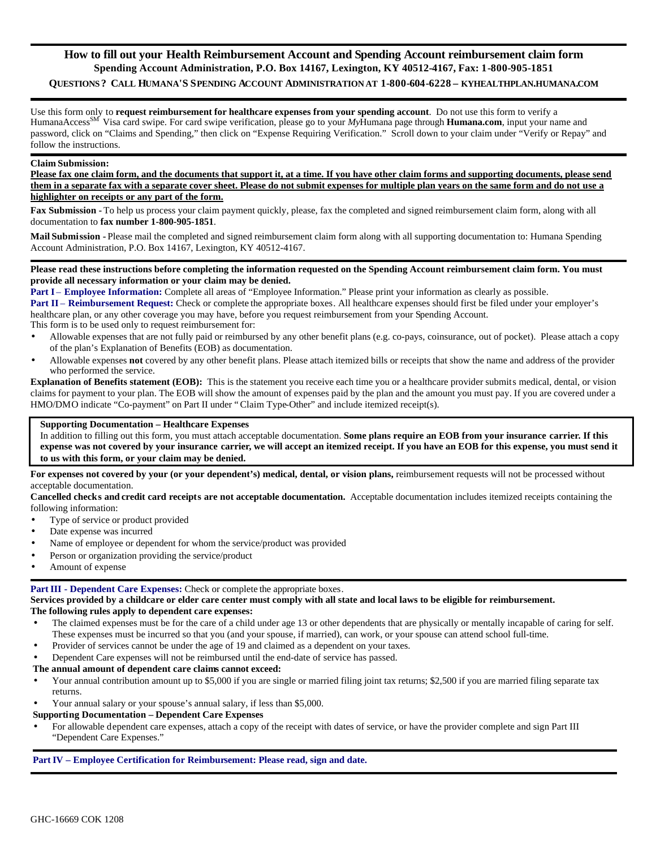# **How to fill out your Health Reimbursement Account and Spending Account reimbursement claim form Spending Account Administration, P.O. Box 14167, Lexington, KY 40512-4167, Fax: 1-800-905-1851** QUESTIONS? CALL HUMANA'S SPENDING ACCOUNT ADMINISTRATION AT 1-800-604-6228 - KYHEALTHPLAN.HUMANA.COM

Use this form only to **request reimbursement for healthcare expenses from your spending account**. Do not use this form to verify a HumanaAccessSM Visa card swipe. For card swipe verification, please go to your *My*Humana page through **Humana.com**, input your name and password, click on "Claims and Spending," then click on "Expense Requiring Verification." Scroll down to your claim under "Verify or Repay" and follow the instructions.

#### **Claim Submission:**

**Please fax one claim form, and the documents that support it, at a time. If you have other claim forms and supporting documents, please send them in a separate fax with a separate cover sheet. Please do not submit expenses for multiple plan years on the same form and do not use a highlighter on receipts or any part of the form.** 

**Fax Submission -** To help us process your claim payment quickly, please, fax the completed and signed reimbursement claim form, along with all documentation to **fax number 1-800-905-1851**.

**Mail Submission -** Please mail the completed and signed reimbursement claim form along with all supporting documentation to: Humana Spending Account Administration, P.O. Box 14167, Lexington, KY 40512-4167.

**Please read these instructions before completing the information requested on the Spending Account reimbursement claim form. You must provide all necessary information or your claim may be denied.** 

**Part I** – **Employee Information:** Complete all areas of "Employee Information." Please print your information as clearly as possible.

**Part II** – **Reimbursement Request:** Check or complete the appropriate boxes. All healthcare expenses should first be filed under your employer's healthcare plan, or any other coverage you may have, before you request reimbursement from your Spending Account.

This form is to be used only to request reimbursement for:

- Allowable expenses that are not fully paid or reimbursed by any other benefit plans (e.g. co-pays, coinsurance, out of pocket). Please attach a copy of the plan's Explanation of Benefits (EOB) as documentation.
- Allowable expenses **not** covered by any other benefit plans. Please attach itemized bills or receipts that show the name and address of the provider who performed the service.

**Explanation of Benefits statement (EOB):** This is the statement you receive each time you or a healthcare provider submits medical, dental, or vision claims for payment to your plan. The EOB will show the amount of expenses paid by the plan and the amount you must pay. If you are covered under a HMO/DMO indicate "Co-payment" on Part II under "Claim Type-Other" and include itemized receipt(s).

#### **Supporting Documentation – Healthcare Expenses**

In addition to filling out this form, you must attach acceptable documentation. **Some plans require an EOB from your insurance carrier. If this expense was not covered by your insurance carrier, we will accept an itemized receipt. If you have an EOB for this expense, you must send it to us with this form, or your claim may be denied.** 

For expenses not covered by your (or your dependent's) medical, dental, or vision plans, reimbursement requests will not be processed without acceptable documentation.

**Cancelled checks and credit card receipts are not acceptable documentation.** Acceptable documentation includes itemized receipts containing the following information:

- Type of service or product provided
- Date expense was incurred
- Name of employee or dependent for whom the service/product was provided
- Person or organization providing the service/product
- Amount of expense

# **Part III - Dependent Care Expenses:** Check or complete the appropriate boxes.

**Services provided by a childcare or elder care center must comply with all state and local laws to be eligible for reimbursement. The following rules apply to dependent care expenses:**

- The claimed expenses must be for the care of a child under age 13 or other dependents that are physically or mentally incapable of caring for self. These expenses must be incurred so that you (and your spouse, if married), can work, or your spouse can attend school full-time.
- Provider of services cannot be under the age of 19 and claimed as a dependent on your taxes.
- Dependent Care expenses will not be reimbursed until the end-date of service has passed.

#### **The annual amount of dependent care claims cannot exceed:**

- Your annual contribution amount up to \$5,000 if you are single or married filing joint tax returns; \$2,500 if you are married filing separate tax returns.
- Your annual salary or your spouse's annual salary, if less than \$5,000.

# **Supporting Documentation – Dependent Care Expenses**

• For allowable dependent care expenses, attach a copy of the receipt with dates of service, or have the provider complete and sign Part III "Dependent Care Expenses."

# **Part IV – Employee Certification for Reimbursement: Please read, sign and date.**